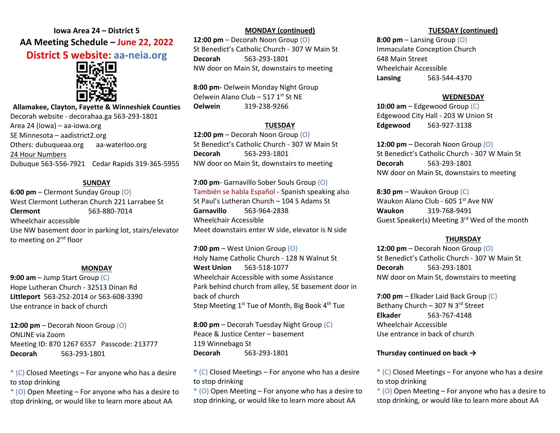# **Iowa Area 24 – District 5 AA Meeting Schedule – June 22, 2022 District 5 website: aa-neia.org**



**Allamakee, Clayton, Fayette & Winneshiek Counties** Decorah website - decorahaa.ga 563-293-1801 Area 24 (Iowa) – aa-iowa.org SE Minnesota – aadistrict2.org Others: dubuqueaa.org aa-waterloo.org 24 Hour Numbers Dubuque 563-556-7921 Cedar Rapids 319-365-5955

### **SUNDAY**

**6:00 pm** – Clermont Sunday Group (O) West Clermont Lutheran Church 221 Larrabee St **Clermont** 563-880-7014 Wheelchair accessible Use NW basement door in parking lot, stairs/elevator to meeting on 2<sup>nd</sup> floor

## **MONDAY**

**9:00 am** – Jump Start Group (C) Hope Lutheran Church - 32513 Dinan Rd **Littleport** 563-252-2014 or 563-608-3390 Use entrance in back of church

**12:00 pm** – Decorah Noon Group (O) ONLINE via Zoom Meeting ID: 870 1267 6557 Passcode: 213777 **Decorah** 563-293-1801

 $*(C)$  Closed Meetings – For anyone who has a desire to stop drinking

 $*(0)$  Open Meeting – For anyone who has a desire to stop drinking, or would like to learn more about AA

# **MONDAY (continued)**

**12:00 pm** – Decorah Noon Group (O) St Benedict's Catholic Church - 307 W Main St **Decorah** 563-293-1801 NW door on Main St, downstairs to meeting

**8:00 pm**- Oelwein Monday Night Group Oelwein Alano Club – 517  $1<sup>st</sup>$  St NE **Oelwein** 319-238-9266

## **TUESDAY**

**12:00 pm** – Decorah Noon Group (O) St Benedict's Catholic Church - 307 W Main St **Decorah** 563-293-1801 NW door on Main St, downstairs to meeting

**7:00 pm**- Garnavillo Sober Souls Group (O) También se habla Español - Spanish speaking also St Paul's Lutheran Church – 104 S Adams St **Garnavillo** 563-964-2838 Wheelchair Accessible Meet downstairs enter W side, elevator is N side

**7:00 pm** – West Union Group (O) Holy Name Catholic Church - 128 N Walnut St **West Union** 563-518-1077 Wheelchair Accessible with some Assistance Park behind church from alley, SE basement door in back of church Step Meeting 1<sup>st</sup> Tue of Month, Big Book 4<sup>th</sup> Tue

**8:00 pm** – Decorah Tuesday Night Group (C) Peace & Justice Center – basement 119 Winnebago St **Decorah** 563-293-1801

 $*(C)$  Closed Meetings – For anyone who has a desire to stop drinking

 $*(0)$  Open Meeting – For anyone who has a desire to stop drinking, or would like to learn more about AA

#### **TUESDAY (continued)**

**8:00 pm** – Lansing Group (O) Immaculate Conception Church 648 Main Street Wheelchair Accessible **Lansing** 563-544-4370

#### **WEDNESDAY**

**10:00 am** – Edgewood Group (C) Edgewood City Hall - 203 W Union St **Edgewood** 563-927-3138

**12:00 pm** – Decorah Noon Group (O) St Benedict's Catholic Church - 307 W Main St **Decorah** 563-293-1801 NW door on Main St, downstairs to meeting

**8:30 pm** – Waukon Group (C) Waukon Alano Club - 605 1<sup>st</sup> Ave NW **Waukon** 319-768-9491 Guest Speaker(s) Meeting 3rd Wed of the month

#### **THURSDAY**

**12:00 pm** – Decorah Noon Group (O) St Benedict's Catholic Church - 307 W Main St **Decorah** 563-293-1801 NW door on Main St, downstairs to meeting

**7:00 pm** – Elkader Laid Back Group (C) Bethany Church - 307 N 3rd Street **Elkader** 563-767-4148 Wheelchair Accessible Use entrance in back of church

#### **Thursday continued on back →**

 $*(C)$  Closed Meetings – For anyone who has a desire to stop drinking

 $*$  (O) Open Meeting – For anyone who has a desire to stop drinking, or would like to learn more about AA